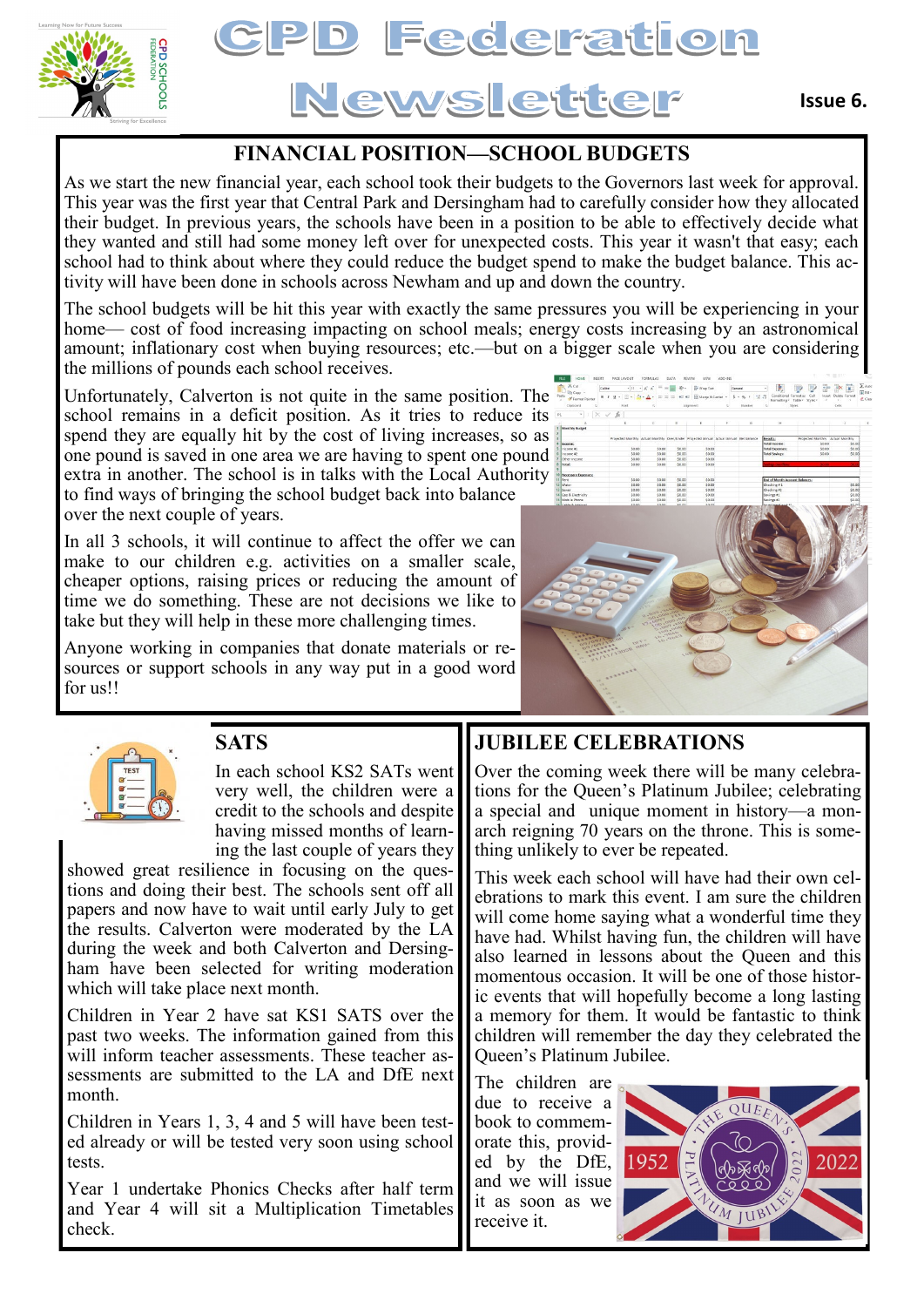



## **FINANCIAL POSITION—SCHOOL BUDGETS**

As we start the new financial year, each school took their budgets to the Governors last week for approval. This year was the first year that Central Park and Dersingham had to carefully consider how they allocated their budget. In previous years, the schools have been in a position to be able to effectively decide what they wanted and still had some money left over for unexpected costs. This year it wasn't that easy; each school had to think about where they could reduce the budget spend to make the budget balance. This activity will have been done in schools across Newham and up and down the country.

The school budgets will be hit this year with exactly the same pressures you will be experiencing in your home— cost of food increasing impacting on school meals; energy costs increasing by an astronomical amount; inflationary cost when buying resources; etc.—but on a bigger scale when you are considering the millions of pounds each school receives.

Unfortunately, Calverton is not quite in the same position. The school remains in a deficit position. As it tries to reduce its spend they are equally hit by the cost of living increases, so as one pound is saved in one area we are having to spent one pound extra in another. The school is in talks with the Local Authority to find ways of bringing the school budget back into balance over the next couple of years.

In all 3 schools, it will continue to affect the offer we can make to our children e.g. activities on a smaller scale, cheaper options, raising prices or reducing the amount of time we do something. These are not decisions we like to take but they will help in these more challenging times.

Anyone working in companies that donate materials or resources or support schools in any way put in a good word for us!!





## **SATS**

In each school KS2 SATs went very well, the children were a credit to the schools and despite having missed months of learning the last couple of years they

showed great resilience in focusing on the questions and doing their best. The schools sent off all papers and now have to wait until early July to get the results. Calverton were moderated by the LA during the week and both Calverton and Dersingham have been selected for writing moderation which will take place next month.

Children in Year 2 have sat KS1 SATS over the past two weeks. The information gained from this will inform teacher assessments. These teacher assessments are submitted to the LA and DfE next month.

Children in Years 1, 3, 4 and 5 will have been tested already or will be tested very soon using school tests.

Year 1 undertake Phonics Checks after half term and Year 4 will sit a Multiplication Timetables check.

## **JUBILEE CELEBRATIONS**

Over the coming week there will be many celebrations for the Queen's Platinum Jubilee; celebrating a special and unique moment in history—a monarch reigning 70 years on the throne. This is something unlikely to ever be repeated.

This week each school will have had their own celebrations to mark this event. I am sure the children will come home saying what a wonderful time they have had. Whilst having fun, the children will have also learned in lessons about the Queen and this momentous occasion. It will be one of those historic events that will hopefully become a long lasting a memory for them. It would be fantastic to think children will remember the day they celebrated the Queen's Platinum Jubilee.

The children are due to receive a book to commemorate this, provided by the DfE, and we will issue it as soon as we receive it.